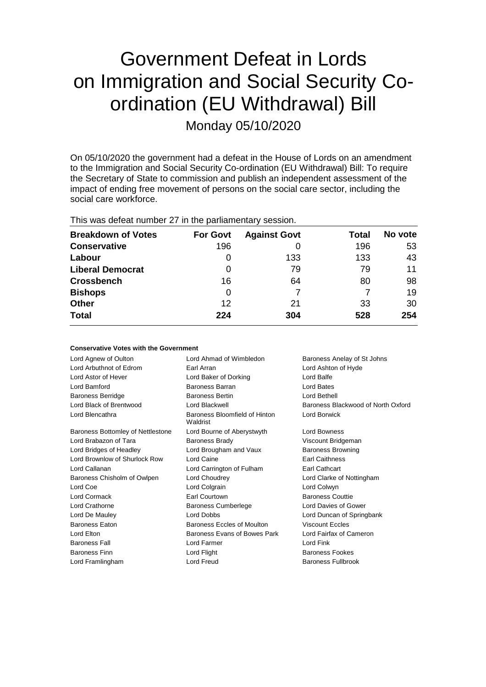# Government Defeat in Lords on Immigration and Social Security Coordination (EU Withdrawal) Bill

Monday 05/10/2020

On 05/10/2020 the government had a defeat in the House of Lords on an amendment to the Immigration and Social Security Co-ordination (EU Withdrawal) Bill: To require the Secretary of State to commission and publish an independent assessment of the impact of ending free movement of persons on the social care sector, including the social care workforce.

| This was defeat number 27 in the parliamentary session. |
|---------------------------------------------------------|
|                                                         |

| <b>Breakdown of Votes</b> | <b>For Govt</b> | <b>Against Govt</b> | Total | No vote |
|---------------------------|-----------------|---------------------|-------|---------|
| <b>Conservative</b>       | 196             |                     | 196   | 53      |
| Labour                    | 0               | 133                 | 133   | 43      |
| <b>Liberal Democrat</b>   | 0               | 79                  | 79    | 11      |
| <b>Crossbench</b>         | 16              | 64                  | 80    | 98      |
| <b>Bishops</b>            | 0               |                     |       | 19      |
| <b>Other</b>              | 12              | 21                  | 33    | 30      |
| <b>Total</b>              | 224             | 304                 | 528   | 254     |

| <b>Conservative Votes with the Government</b> |                                           |                                    |  |  |  |
|-----------------------------------------------|-------------------------------------------|------------------------------------|--|--|--|
| Lord Agnew of Oulton                          | Lord Ahmad of Wimbledon                   | Baroness Anelay of St Johns        |  |  |  |
| Lord Arbuthnot of Edrom                       | Earl Arran                                | Lord Ashton of Hyde                |  |  |  |
| Lord Astor of Hever                           | Lord Baker of Dorking                     | Lord Balfe                         |  |  |  |
| Lord Bamford                                  | Baroness Barran                           | Lord Bates                         |  |  |  |
| <b>Baroness Berridge</b>                      | <b>Baroness Bertin</b>                    | Lord Bethell                       |  |  |  |
| Lord Black of Brentwood                       | Lord Blackwell                            | Baroness Blackwood of North Oxford |  |  |  |
| Lord Blencathra                               | Baroness Bloomfield of Hinton<br>Waldrist | Lord Borwick                       |  |  |  |
| Baroness Bottomley of Nettlestone             | Lord Bourne of Aberystwyth                | Lord Bowness                       |  |  |  |
| Lord Brabazon of Tara                         | <b>Baroness Brady</b>                     | Viscount Bridgeman                 |  |  |  |
| Lord Bridges of Headley                       | Lord Brougham and Vaux                    | <b>Baroness Browning</b>           |  |  |  |
| Lord Brownlow of Shurlock Row                 | Lord Caine                                | <b>Earl Caithness</b>              |  |  |  |
| Lord Callanan                                 | Lord Carrington of Fulham                 | Earl Cathcart                      |  |  |  |
| Baroness Chisholm of Owlpen                   | Lord Choudrey                             | Lord Clarke of Nottingham          |  |  |  |
| Lord Coe                                      | Lord Colgrain                             | Lord Colwyn                        |  |  |  |
| Lord Cormack                                  | Earl Courtown                             | <b>Baroness Couttie</b>            |  |  |  |
| Lord Crathorne                                | <b>Baroness Cumberlege</b>                | Lord Davies of Gower               |  |  |  |
| Lord De Mauley                                | Lord Dobbs                                | Lord Duncan of Springbank          |  |  |  |
| <b>Baroness Eaton</b>                         | <b>Baroness Eccles of Moulton</b>         | <b>Viscount Eccles</b>             |  |  |  |
| Lord Elton                                    | Baroness Evans of Bowes Park              | Lord Fairfax of Cameron            |  |  |  |
| <b>Baroness Fall</b>                          | Lord Farmer                               | Lord Fink                          |  |  |  |
| <b>Baroness Finn</b>                          | Lord Flight                               | Baroness Fookes                    |  |  |  |
| Lord Framlingham                              | Lord Freud                                | Baroness Fullbrook                 |  |  |  |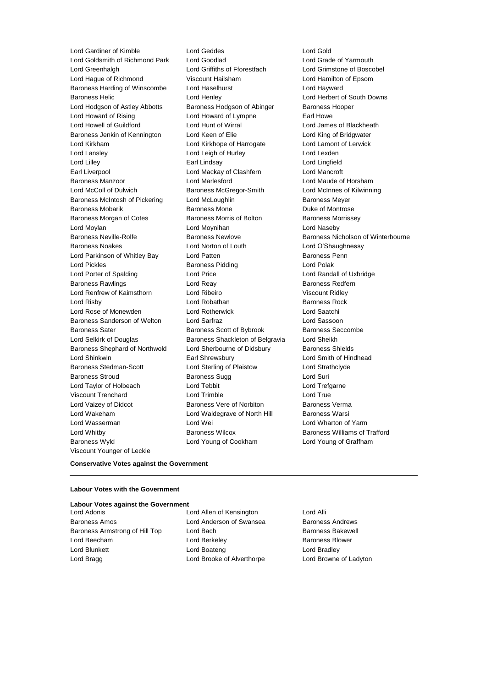Lord Gardiner of Kimble **Lord Geddes** Lord Geddes Lord Gold<br>
Lord Goldsmith of Richmond Park Lord Goodlad

Lord Cord Grade of Yarmouth Lord Goldsmith of Richmond Park Lord Goodlad<br>
Lord Greenhaldh 
Lord Griffiths of Fforestfach Lord Greenhalgh Lord Griffiths of Fforestfach Lord Grimstone of Boscobel Lord Hague of Richmond Viscount Hailsham Lord Hamilton of Epsom Baroness Harding of Winscombe Lord Haselhurst Lord Hayward Baroness Helic Lord Henley Lord Herbert of South Downs Lord Hodgson of Astley Abbotts Baroness Hodgson of Abinger Baroness Hooper Lord Howard of Rising **Lord Howard of Lympne** Earl Howe Lord Howell of Guildford Lord Hunt of Wirral Lord James of Blackheath Baroness Jenkin of Kennington Lord Keen of Elie Lord King of Bridgwater Lord Kirkham Lord Kirkhope of Harrogate Lord Lamont of Lerwick Lord Lansley **Lord Leigh of Hurley** Lord Lexden Lord Lilley Earl Lindsay Lord Lingfield Earl Liverpool Lord Mackay of Clashfern Lord Mancroft Baroness Manzoor Lord Marlesford Lord Maude of Horsham Lord McColl of Dulwich Baroness McGregor-Smith Lord McInnes of Kilwinning Baroness McIntosh of Pickering Lord McLoughlin Baroness Meyer Baroness Mobarik **Baroness Mone** Baroness Mone **Duke of Montrose** Baroness Morgan of Cotes **Baroness Morris of Bolton** Baroness Morrissey Lord Moylan Lord Moynihan Lord Naseby Baroness Neville-Rolfe **Baroness Newlove** Baroness Newlove **Baroness Nicholson of Winterbourne** Baroness Noakes Lord Norton of Louth Lord O'Shaughnessy Lord Parkinson of Whitley Bay **Lord Patten Communist Communist Parkinson Communist Penn** Lord Pickles **Baroness Pidding Lord Polak** Lord Polak Lord Porter of Spalding Lord Price Lord Randall of Uxbridge Baroness Rawlings **Baroness Redfern** Lord Reay **Baroness Redfern** Lord Renfrew of Kaimsthorn Lord Ribeiro Viscount Ridley Lord Risby **Lord Robathan** Baroness Rock **Container Baroness Rock** Lord Rose of Monewden Lord Rotherwick Lord Saatchi Baroness Sanderson of Welton Lord Sarfraz Lord Sassoon Baroness Sater **Baroness Scott of Bybrook** Baroness Seccombe Lord Selkirk of Douglas Baroness Shackleton of Belgravia Lord Sheikh Baroness Shephard of Northwold Lord Sherbourne of Didsbury Baroness Shields Lord Shinkwin Earl Shrewsbury Lord Smith of Hindhead Baroness Stedman-Scott Lord Sterling of Plaistow Lord Strathclyde Baroness Stroud Baroness Sugg Lord Suri Lord Taylor of Holbeach Lord Tebbit Lord Trefgarne Viscount Trenchard Lord Trimble Lord True Lord Vaizey of Didcot **Baroness Vere of Norbiton** Baroness Verma Lord Wakeham **Lord Waldegrave of North Hill** Baroness Warsi Lord Wasserman Lord Wei Lord Wharton of Yarm Lord Whitby **Baroness Wilcox** Baroness Wilcox **Baroness Williams of Trafford** Baroness Wyld Lord Young of Cookham Lord Young of Graffham Viscount Younger of Leckie

## **Conservative Votes against the Government**

#### **Labour Votes with the Government**

## **Labour Votes against the Government**

Baroness Amos **Baroness Amos** Lord Anderson of Swansea Baroness Andrews Baroness Armstrong of Hill Top Lord Bach Baroness Bakewell Lord Beecham **Lord Berkeley Baroness Blower Baroness Blower** Lord Blunkett **Lord Boateng** Lord Boateng **Lord Bradley** Lord Bragg Lord Brooke of Alverthorpe Lord Browne of Ladyton

Lord Adonis Lord Allen of Kensington Lord Alli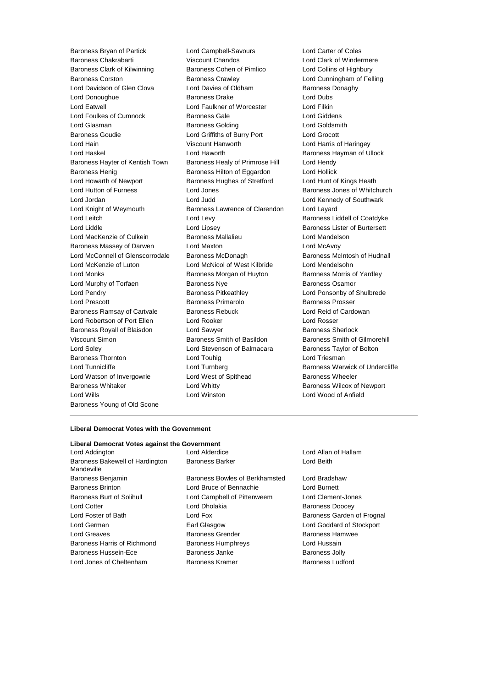Baroness Bryan of Partick Lord Campbell-Savours Lord Carter of Coles Baroness Chakrabarti Viscount Chandos Lord Clark of Windermere Baroness Clark of Kilwinning Baroness Cohen of Pimlico Lord Collins of Highbury Baroness Corston Baroness Crawley Lord Cunningham of Felling Lord Davidson of Glen Clova **Lord Davies of Oldham** Baroness Donaghy Lord Donoughue Baroness Drake Lord Dubs Lord Eatwell Lord Faulkner of Worcester Lord Filkin Lord Foulkes of Cumnock Baroness Gale Lord Giddens Lord Glasman Baroness Golding Lord Goldsmith Baroness Goudie Lord Griffiths of Burry Port Lord Grocott Lord Hain Viscount Hanworth Lord Harris of Haringey Lord Haskel **Lord Haworth** Baroness Hayman of Ullock Baroness Hayter of Kentish Town Baroness Healy of Primrose Hill Lord Hendy Baroness Henig **Baroness Hilton of Eggardon** Lord Hollick Lord Howarth of Newport Baroness Hughes of Stretford Lord Hunt of Kings Heath Lord Hutton of Furness **Lord Jones** Lord Jones Baroness Jones of Whitchurch Lord Jordan Lord Judd Lord Kennedy of Southwark Lord Knight of Weymouth **Baroness Lawrence of Clarendon** Lord Layard Lord Leitch **Lord Levy** Lord Levy **Baroness Liddell of Coatdyke** Lord Liddle **Lord Lipsey** Lord Lipsey **Baroness Lister of Burtersett** Lord MacKenzie of Culkein Baroness Mallalieu Lord Mandelson Baroness Massey of Darwen Lord Maxton Lord McAvoy Lord McConnell of Glenscorrodale Baroness McDonagh Baroness McIntosh of Hudnall Lord McKenzie of Luton Lord McNicol of West Kilbride Lord Mendelsohn Lord Monks **Baroness Morgan of Huyton** Baroness Morris of Yardley Lord Murphy of Torfaen **Baroness Nye** Baroness Osamor Lord Pendry Baroness Pitkeathley Lord Ponsonby of Shulbrede Lord Prescott Baroness Primarolo Baroness Prosser Baroness Ramsay of Cartvale Baroness Rebuck Lord Reid of Cardowan Lord Robertson of Port Ellen Lord Rooker Lord Rosser Baroness Royall of Blaisdon Lord Sawyer **Baroness Sherlock** Baroness Sherlock Viscount Simon Baroness Smith of Basildon Baroness Smith of Gilmorehill Lord Soley Lord Stevenson of Balmacara Baroness Taylor of Bolton Baroness Thornton **Lord Touhig Lord Triesman** Lord Triesman Lord Tunnicliffe **Lord Turnberg** Lord Turnberg **Baroness Warwick of Undercliffe** Lord Watson of Invergowrie **Lord West of Spithead** Baroness Wheeler Baroness Whitaker **Lord Whitty Lord Whitty Baroness Wilcox of Newport** Lord Wills Lord Winston Lord Wood of Anfield Baroness Young of Old Scone

## **Liberal Democrat Votes with the Government**

## **Liberal Democrat Votes against the Government**

Lord Addington Lord Alderdice Lord Allan of Hallam Baroness Bakewell of Hardington Mandeville Baroness Benjamin Baroness Bowles of Berkhamsted Lord Bradshaw Baroness Brinton Lord Bruce of Bennachie Lord Burnett Baroness Burt of Solihull Lord Campbell of Pittenweem Lord Clement-Jones Lord Cotter **Lord Dholakia** Baroness Doocey Lord Foster of Bath **Lord Fox** Lord Fox **Baroness Garden of Frognal** Lord German Earl Glasgow Lord Goddard of Stockport Lord Greaves Baroness Grender Baroness Hamwee Baroness Harris of Richmond Baroness Humphreys Corporation Lord Hussain Baroness Hussein-Ece **Baroness Janke** Baroness Janke Baroness Jolly Lord Jones of Cheltenham Baroness Kramer Baroness Ludford

Baroness Barker **Lord Beith**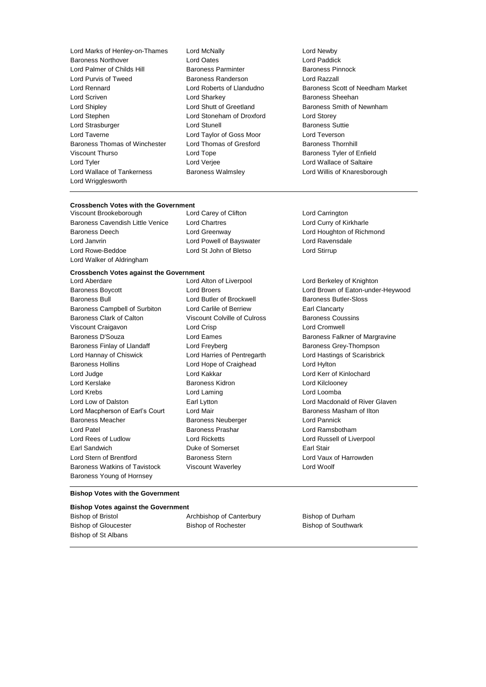Lord Marks of Henley-on-Thames Lord McNally Lord Newby Baroness Northover Lord Oates Lord Paddick Lord Palmer of Childs Hill Baroness Parminter Lord Purvis of Tweed Baroness Randerson Lord Razzall Lord Scriven **Lord Sharkey Communist Communist Sheehan** Lord Shipley **Lord Shutt of Greetland** Baroness Smith of Newnham Lord Stephen Lord Stoneham of Droxford Lord Storey Lord Strasburger Lord Stunell Baroness Suttie Lord Taverne Lord Taylor of Goss Moor Lord Teverson Baroness Thomas of Winchester Lord Thomas of Gresford Baroness Thornhill Viscount Thurso **Communist Contract Contract Contract Contract Contract Contract Contract Contract Contract Contract Contract Contract Contract Contract Contract Contract Contract Contract Contract Contract Contract Contra** Lord Tyler Lord Verjee Lord Wallace of Saltaire Lord Wallace of Tankerness Baroness Walmsley Lord Willis of Knaresborough Lord Wrigglesworth

Lord Rennard Lord Roberts of Llandudno Baroness Scott of Needham Market

## **Crossbench Votes with the Government<br>Viscount Brookeborough Lord Carey of Clifton**

Baroness Cavendish Little Venice Lord Chartres Lord Curry of Kirkharle Baroness Deech Lord Greenway Lord Houghton of Richmond Lord Janvrin Lord Powell of Bayswater Lord Ravensdale Lord Rowe-Beddoe Lord St John of Bletso Lord Stirrup Lord Walker of Aldringham

Viscount Brookeborough Lord Carey of Clifton Lord Carrington

## **Crossbench Votes against the Government**

Baroness Bull **Baroness Bull** Lord Butler of Brockwell **Baroness Butler-Sloss** Baroness Campbell of Surbiton Lord Carlile of Berriew Earl Clancarty Baroness Clark of Calton Viscount Colville of Culross Baroness Coussins Viscount Craigavon Lord Crisp Lord Cromwell Baroness D'Souza **Baroness Eames** Lord Eames **Baroness Falkner of Margravine** Baroness Finlay of Llandaff **Lord Freyberg Lord Freyberg** Baroness Grey-Thompson Lord Hannay of Chiswick Lord Harries of Pentregarth Lord Hastings of Scarisbrick Baroness Hollins Lord Hope of Craighead Lord Hylton Lord Judge Lord Kakkar Lord Kerr of Kinlochard Lord Kerslake Baroness Kidron Lord Kilclooney Lord Krebs Lord Laming Lord Loomba Lord Low of Dalston Earl Lytton Lord Macdonald of River Glaven Lord Macpherson of Earl's Court Lord Mair **Baroness Masham of Ilton** Baroness Meacher **Baroness Neuberger Lord Pannick** Lord Patel **Baroness Prashar Communist Prashar Lord Ramsbotham** Lord Rees of Ludlow **Lord Ricketts** Lord Russell of Liverpool Earl Sandwich **Duke of Somerset** Earl Stair Lord Stern of Brentford **Baroness Stern** Baroness Stern Lord Vaux of Harrowden Baroness Watkins of Tavistock Viscount Waverley Lord Woolf Baroness Young of Hornsey

Lord Aberdare Lord Alton of Liverpool Lord Berkeley of Knighton Baroness Boycott Lord Broers Lord Brown of Eaton-under-Heywood

## **Bishop Votes with the Government**

## **Bishop Votes against the Government**

Bishop of St Albans

Bishop of Bristol **Archbishop of Canterbury** Bishop of Durham Bishop of Gloucester **Bishop of Rochester** Bishop of Southwark